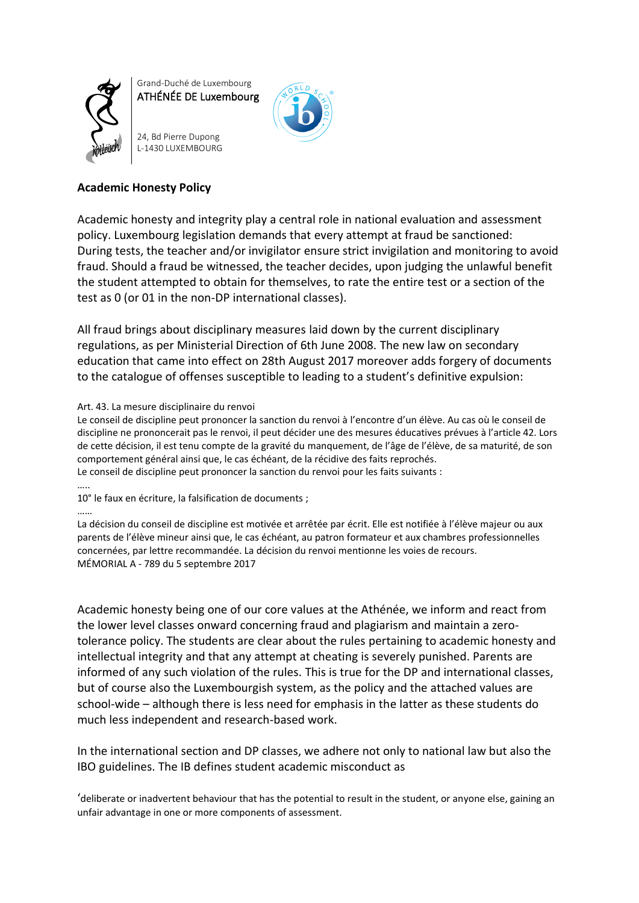

Grand-Duché de Luxembourg ATHÉNÉE DE Luxembourg

24, Bd Pierre Dupong L-1430 LUXEMBOURG



## **Academic Honesty Policy**

Academic honesty and integrity play a central role in national evaluation and assessment policy. Luxembourg legislation demands that every attempt at fraud be sanctioned: During tests, the teacher and/or invigilator ensure strict invigilation and monitoring to avoid fraud. Should a fraud be witnessed, the teacher decides, upon judging the unlawful benefit the student attempted to obtain for themselves, to rate the entire test or a section of the test as 0 (or 01 in the non-DP international classes).

All fraud brings about disciplinary measures laid down by the current disciplinary regulations, as per Ministerial Direction of 6th June 2008. The new law on secondary education that came into effect on 28th August 2017 moreover adds forgery of documents to the catalogue of offenses susceptible to leading to a student's definitive expulsion:

## Art. 43. La mesure disciplinaire du renvoi

Le conseil de discipline peut prononcer la sanction du renvoi à l'encontre d'un élève. Au cas où le conseil de discipline ne prononcerait pas le renvoi, il peut décider une des mesures éducatives prévues à l'article 42. Lors de cette décision, il est tenu compte de la gravité du manquement, de l'âge de l'élève, de sa maturité, de son comportement général ainsi que, le cas échéant, de la récidive des faits reprochés. Le conseil de discipline peut prononcer la sanction du renvoi pour les faits suivants :

10° le faux en écriture, la falsification de documents ;

### ……

…..

La décision du conseil de discipline est motivée et arrêtée par écrit. Elle est notifiée à l'élève majeur ou aux parents de l'élève mineur ainsi que, le cas échéant, au patron formateur et aux chambres professionnelles concernées, par lettre recommandée. La décision du renvoi mentionne les voies de recours. MÉMORIAL A - 789 du 5 septembre 2017

Academic honesty being one of our core values at the Athénée, we inform and react from the lower level classes onward concerning fraud and plagiarism and maintain a zerotolerance policy. The students are clear about the rules pertaining to academic honesty and intellectual integrity and that any attempt at cheating is severely punished. Parents are informed of any such violation of the rules. This is true for the DP and international classes, but of course also the Luxembourgish system, as the policy and the attached values are school-wide – although there is less need for emphasis in the latter as these students do much less independent and research-based work.

In the international section and DP classes, we adhere not only to national law but also the IBO guidelines. The IB defines student academic misconduct as

'deliberate or inadvertent behaviour that has the potential to result in the student, or anyone else, gaining an unfair advantage in one or more components of assessment.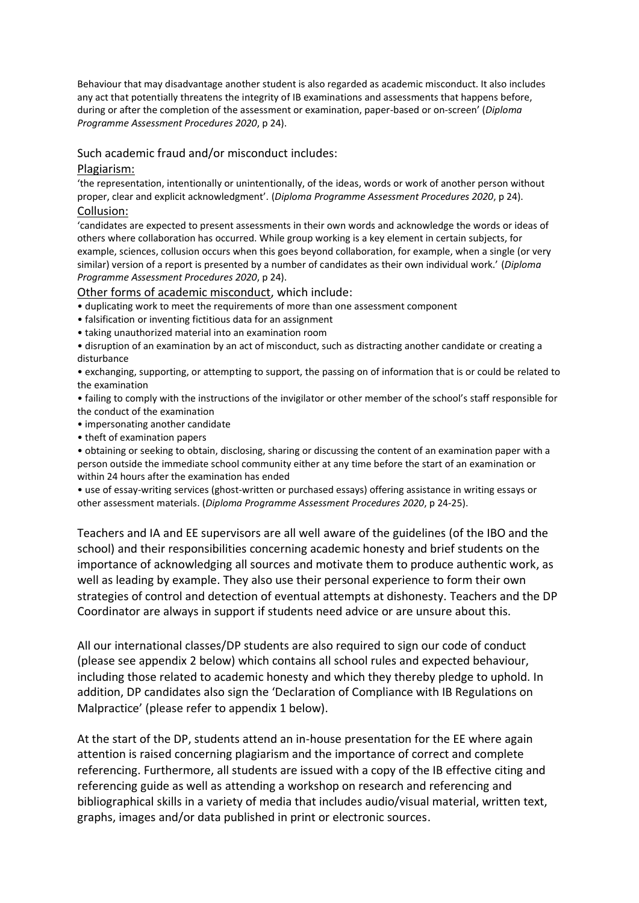Behaviour that may disadvantage another student is also regarded as academic misconduct. It also includes any act that potentially threatens the integrity of IB examinations and assessments that happens before, during or after the completion of the assessment or examination, paper-based or on-screen' (*Diploma Programme Assessment Procedures 2020*, p 24).

## Such academic fraud and/or misconduct includes:

## Plagiarism:

'the representation, intentionally or unintentionally, of the ideas, words or work of another person without proper, clear and explicit acknowledgment'. (*Diploma Programme Assessment Procedures 2020*, p 24). Collusion:

'candidates are expected to present assessments in their own words and acknowledge the words or ideas of others where collaboration has occurred. While group working is a key element in certain subjects, for example, sciences, collusion occurs when this goes beyond collaboration, for example, when a single (or very similar) version of a report is presented by a number of candidates as their own individual work.' (*Diploma Programme Assessment Procedures 2020*, p 24).

Other forms of academic misconduct, which include:

• duplicating work to meet the requirements of more than one assessment component

- falsification or inventing fictitious data for an assignment
- taking unauthorized material into an examination room

• disruption of an examination by an act of misconduct, such as distracting another candidate or creating a disturbance

• exchanging, supporting, or attempting to support, the passing on of information that is or could be related to the examination

• failing to comply with the instructions of the invigilator or other member of the school's staff responsible for the conduct of the examination

- impersonating another candidate
- theft of examination papers

• obtaining or seeking to obtain, disclosing, sharing or discussing the content of an examination paper with a person outside the immediate school community either at any time before the start of an examination or within 24 hours after the examination has ended

• use of essay-writing services (ghost-written or purchased essays) offering assistance in writing essays or other assessment materials. (*Diploma Programme Assessment Procedures 2020*, p 24-25).

Teachers and IA and EE supervisors are all well aware of the guidelines (of the IBO and the school) and their responsibilities concerning academic honesty and brief students on the importance of acknowledging all sources and motivate them to produce authentic work, as well as leading by example. They also use their personal experience to form their own strategies of control and detection of eventual attempts at dishonesty. Teachers and the DP Coordinator are always in support if students need advice or are unsure about this.

All our international classes/DP students are also required to sign our code of conduct (please see appendix 2 below) which contains all school rules and expected behaviour, including those related to academic honesty and which they thereby pledge to uphold. In addition, DP candidates also sign the 'Declaration of Compliance with IB Regulations on Malpractice' (please refer to appendix 1 below).

At the start of the DP, students attend an in-house presentation for the EE where again attention is raised concerning plagiarism and the importance of correct and complete referencing. Furthermore, all students are issued with a copy of the IB effective citing and referencing guide as well as attending a workshop on research and referencing and bibliographical skills in a variety of media that includes audio/visual material, written text, graphs, images and/or data published in print or electronic sources.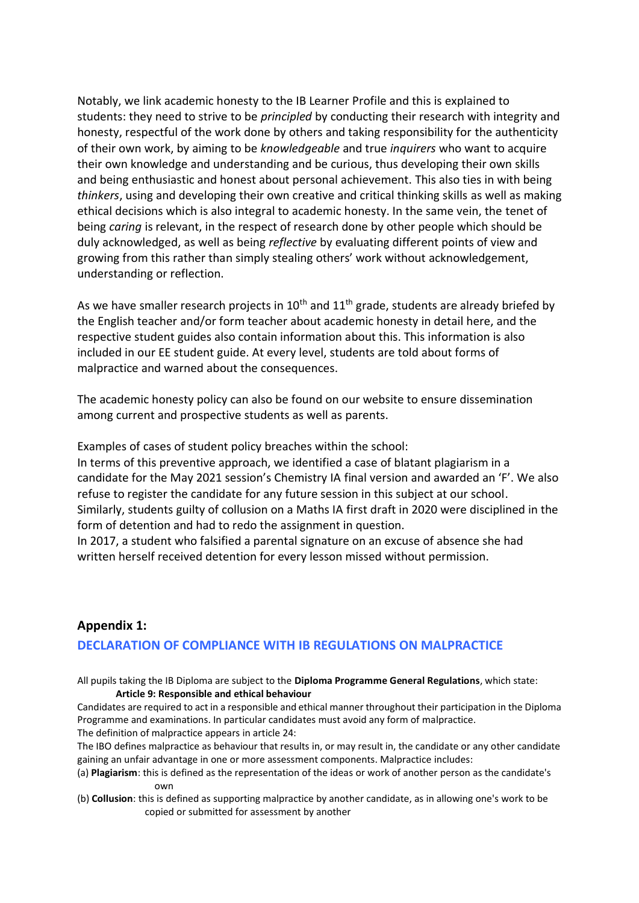Notably, we link academic honesty to the IB Learner Profile and this is explained to students: they need to strive to be *principled* by conducting their research with integrity and honesty, respectful of the work done by others and taking responsibility for the authenticity of their own work, by aiming to be *knowledgeable* and true *inquirers* who want to acquire their own knowledge and understanding and be curious, thus developing their own skills and being enthusiastic and honest about personal achievement. This also ties in with being *thinkers*, using and developing their own creative and critical thinking skills as well as making ethical decisions which is also integral to academic honesty. In the same vein, the tenet of being *caring* is relevant, in the respect of research done by other people which should be duly acknowledged, as well as being *reflective* by evaluating different points of view and growing from this rather than simply stealing others' work without acknowledgement, understanding or reflection.

As we have smaller research projects in  $10<sup>th</sup>$  and  $11<sup>th</sup>$  grade, students are already briefed by the English teacher and/or form teacher about academic honesty in detail here, and the respective student guides also contain information about this. This information is also included in our EE student guide. At every level, students are told about forms of malpractice and warned about the consequences.

The academic honesty policy can also be found on our website to ensure dissemination among current and prospective students as well as parents.

Examples of cases of student policy breaches within the school:

In terms of this preventive approach, we identified a case of blatant plagiarism in a candidate for the May 2021 session's Chemistry IA final version and awarded an 'F'. We also refuse to register the candidate for any future session in this subject at our school. Similarly, students guilty of collusion on a Maths IA first draft in 2020 were disciplined in the form of detention and had to redo the assignment in question.

In 2017, a student who falsified a parental signature on an excuse of absence she had written herself received detention for every lesson missed without permission.

# **Appendix 1: DECLARATION OF COMPLIANCE WITH IB REGULATIONS ON MALPRACTICE**

All pupils taking the IB Diploma are subject to the **Diploma Programme General Regulations**, which state: **Article 9: Responsible and ethical behaviour**

Candidates are required to act in a responsible and ethical manner throughout their participation in the Diploma Programme and examinations. In particular candidates must avoid any form of malpractice. The definition of malpractice appears in article 24:

The IBO defines malpractice as behaviour that results in, or may result in, the candidate or any other candidate gaining an unfair advantage in one or more assessment components. Malpractice includes:

- (a) **Plagiarism**: this is defined as the representation of the ideas or work of another person as the candidate's own
- (b) **Collusion**: this is defined as supporting malpractice by another candidate, as in allowing one's work to be copied or submitted for assessment by another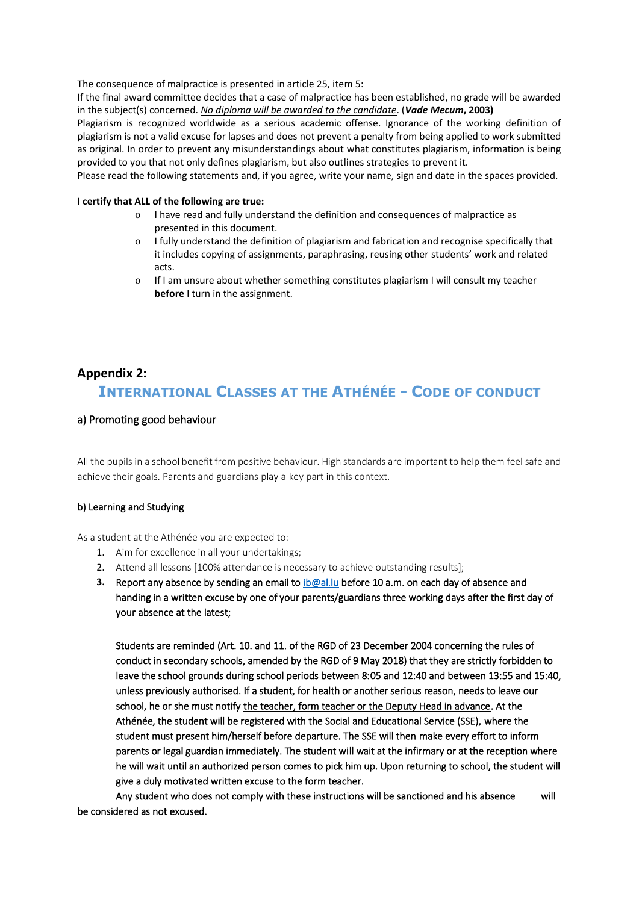The consequence of malpractice is presented in article 25, item 5:

If the final award committee decides that a case of malpractice has been established, no grade will be awarded in the subject(s) concerned. *No diploma will be awarded to the candidate*. (*Vade Mecum***, 2003)**

Plagiarism is recognized worldwide as a serious academic offense. Ignorance of the working definition of plagiarism is not a valid excuse for lapses and does not prevent a penalty from being applied to work submitted as original. In order to prevent any misunderstandings about what constitutes plagiarism, information is being provided to you that not only defines plagiarism, but also outlines strategies to prevent it.

Please read the following statements and, if you agree, write your name, sign and date in the spaces provided.

#### **I certify that ALL of the following are true:**

- o I have read and fully understand the definition and consequences of malpractice as presented in this document.
- o I fully understand the definition of plagiarism and fabrication and recognise specifically that it includes copying of assignments, paraphrasing, reusing other students' work and related acts.
- o If I am unsure about whether something constitutes plagiarism I will consult my teacher **before** I turn in the assignment.

## **Appendix 2:**

# **INTERNATIONAL CLASSES AT THE ATHÉNÉE - CODE OF CONDUCT**

### a) Promoting good behaviour

All the pupils in a school benefit from positive behaviour. High standards are important to help them feel safe and achieve their goals. Parents and guardians play a key part in this context.

### b) Learning and Studying

As a student at the Athénée you are expected to:

- 1. Aim for excellence in all your undertakings;
- 2. Attend all lessons [100% attendance is necessary to achieve outstanding results];
- **3.** Report any absence by sending an email t[o ib@al.lu](mailto:ib@al.lu) before 10 a.m. on each day of absence and handing in a written excuse by one of your parents/guardians three working days after the first day of your absence at the latest;

Students are reminded (Art. 10. and 11. of the RGD of 23 December 2004 concerning the rules of conduct in secondary schools, amended by the RGD of 9 May 2018) that they are strictly forbidden to leave the school grounds during school periods between 8:05 and 12:40 and between 13:55 and 15:40, unless previously authorised. If a student, for health or another serious reason, needs to leave our school, he or she must notify the teacher, form teacher or the Deputy Head in advance. At the Athénée, the student will be registered with the Social and Educational Service (SSE), where the student must present him/herself before departure. The SSE will then make every effort to inform parents or legal guardian immediately. The student will wait at the infirmary or at the reception where he will wait until an authorized person comes to pick him up. Upon returning to school, the student will give a duly motivated written excuse to the form teacher.

Any student who does not comply with these instructions will be sanctioned and his absence will be considered as not excused.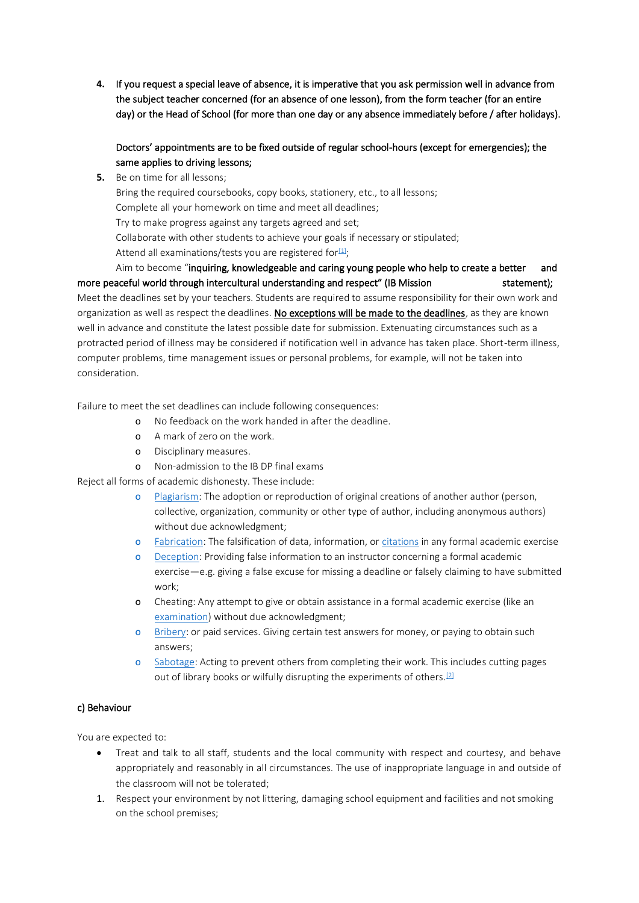**4.** If you request a special leave of absence, it is imperative that you ask permission well in advance from the subject teacher concerned (for an absence of one lesson), from the form teacher (for an entire day) or the Head of School (for more than one day or any absence immediately before / after holidays).

## Doctors' appointments are to be fixed outside of regular school-hours (except for emergencies); the same applies to driving lessons;

**5.** Be on time for all lessons;

Bring the required coursebooks, copy books, stationery, etc., to all lessons; Complete all your homework on time and meet all deadlines; Try to make progress against any targets agreed and set; Collaborate with other students to achieve your goals if necessary or stipulated; Attend all examinations/tests you are registered for $[1]$ ; Aim to become "inquiring, knowledgeable and caring young people who help to create a better and

more peaceful world through intercultural understanding and respect" (IB Mission statement); Meet the deadlines set by your teachers. Students are required to assume responsibility for their own work and organization as well as respect the deadlines. No exceptions will be made to the deadlines, as they are known well in advance and constitute the latest possible date for submission. Extenuating circumstances such as a protracted period of illness may be considered if notification well in advance has taken place. Short-term illness, computer problems, time management issues or personal problems, for example, will not be taken into consideration.

Failure to meet the set deadlines can include following consequences:

- o No feedback on the work handed in after the deadline.
- o A mark of zero on the work.
- o Disciplinary measures.
- o Non-admission to the IB DP final exams

Reject all forms of academic dishonesty. These include:

- o [Plagiarism:](http://en.wikipedia.org/wiki/Plagiarism) The adoption or reproduction of original creations of another author (person, collective, organization, community or other type of author, including anonymous authors) without due acknowledgment;
- o [Fabrication:](http://en.wikipedia.org/wiki/Lie#Fabrication) The falsification of data, information, o[r citations](http://en.wikipedia.org/wiki/Citations) in any formal academic exercise
- o [Deception:](http://en.wikipedia.org/wiki/Deception) Providing false information to an instructor concerning a formal academic exercise—e.g. giving a false excuse for missing a deadline or falsely claiming to have submitted work;
- o Cheating: Any attempt to give or obtain assistance in a formal academic exercise (like an [examination\)](http://en.wikipedia.org/wiki/Examination) without due acknowledgment;
- o [Bribery:](http://en.wikipedia.org/wiki/Bribery) or paid services. Giving certain test answers for money, or paying to obtain such answers;
- o [Sabotage:](http://en.wikipedia.org/wiki/Sabotage) Acting to prevent others from completing their work. This includes cutting pages out of library books or wilfully disrupting the experiments of others.<sup>[\[2\]](https://euc-word-edit.officeapps.live.com/we/wordeditorframe.aspx?ui=en%2DUS&rs=en%2DUS&wopisrc=https%3A%2F%2F365education-my.sharepoint.com%2Fpersonal%2Fhalth134_365_education_lu%2F_vti_bin%2Fwopi.ashx%2Ffiles%2F0f27807081c249a08d66ca3dc1edaf5a&wdenableroaming=1&wdfr=1&mscc=1&wdodb=1&hid=668EE39F-0044-2000-C910-D9842C17A163&wdorigin=ItemsView&wdhostclicktime=1628442299241&jsapi=1&jsapiver=v1&newsession=1&corrid=ba5a9d93-9266-b6ea-c556-e7e70a3863cc&usid=ba5a9d93-9266-b6ea-c556-e7e70a3863cc&sftc=1&mtf=1&sfp=1&instantedit=1&wopicomplete=1&wdredirectionreason=Unified_SingleFlush&preseededsessionkey=f0c8fe1d-c9b3-de76-9232-4d0c4004302d&preseededwacsessionid=ba5a9d93-9266-b6ea-c556-e7e70a3863cc&rct=Medium&ctp=LeastProtected#_ftn2)</sup>

## c) Behaviour

You are expected to:

- Treat and talk to all staff, students and the local community with respect and courtesy, and behave appropriately and reasonably in all circumstances. The use of inappropriate language in and outside of the classroom will not be tolerated;
- 1. Respect your environment by not littering, damaging school equipment and facilities and not smoking on the school premises;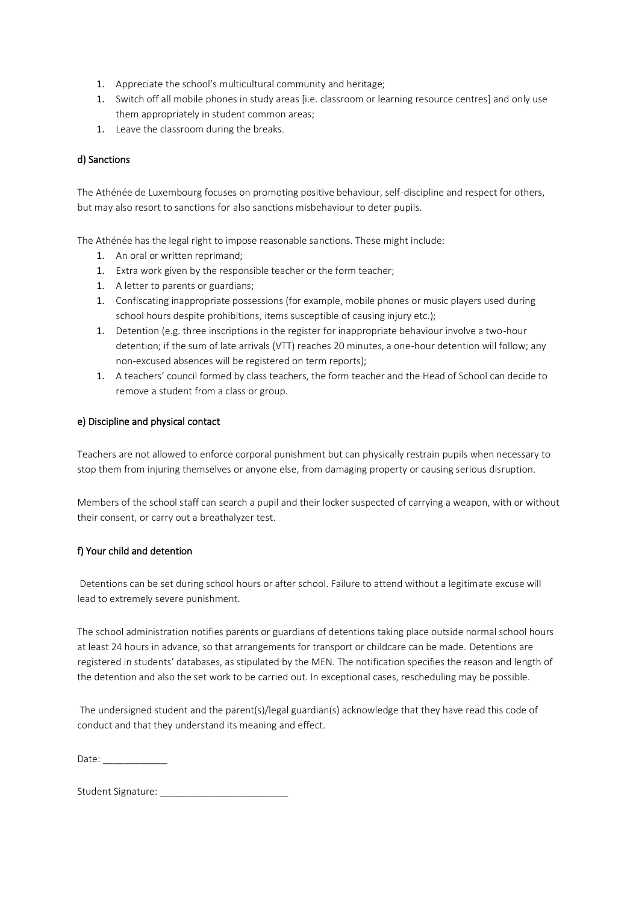- 1. Appreciate the school's multicultural community and heritage;
- 1. Switch off all mobile phones in study areas [i.e. classroom or learning resource centres] and only use them appropriately in student common areas;
- 1. Leave the classroom during the breaks.

### d) Sanctions

The Athénée de Luxembourg focuses on promoting positive behaviour, self-discipline and respect for others, but may also resort to sanctions for also sanctions misbehaviour to deter pupils.

The Athénée has the legal right to impose reasonable sanctions. These might include:

- 1. An oral or written reprimand;
- 1. Extra work given by the responsible teacher or the form teacher;
- 1. A letter to parents or guardians;
- 1. Confiscating inappropriate possessions (for example, mobile phones or music players used during school hours despite prohibitions, items susceptible of causing injury etc.);
- 1. Detention (e.g. three inscriptions in the register for inappropriate behaviour involve a two-hour detention; if the sum of late arrivals (VTT) reaches 20 minutes, a one-hour detention will follow; any non-excused absences will be registered on term reports);
- 1. A teachers' council formed by class teachers, the form teacher and the Head of School can decide to remove a student from a class or group.

### e) Discipline and physical contact

Teachers are not allowed to enforce corporal punishment but can physically restrain pupils when necessary to stop them from injuring themselves or anyone else, from damaging property or causing serious disruption.

Members of the school staff can search a pupil and their locker suspected of carrying a weapon, with or without their consent, or carry out a breathalyzer test.

### f) Your child and detention

Detentions can be set during school hours or after school. Failure to attend without a legitimate excuse will lead to extremely severe punishment.

The school administration notifies parents or guardians of detentions taking place outside normal school hours at least 24 hours in advance, so that arrangements for transport or childcare can be made. Detentions are registered in students' databases, as stipulated by the MEN. The notification specifies the reason and length of the detention and also the set work to be carried out. In exceptional cases, rescheduling may be possible.

The undersigned student and the parent(s)/legal guardian(s) acknowledge that they have read this code of conduct and that they understand its meaning and effect.

Date:

Student Signature: